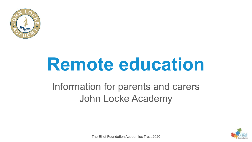

# **Remote education**

#### Information for parents and carers John Locke Academy



The Elliot Foundation Academies Trust 2020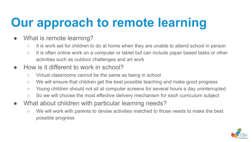# **Our approach to remote learning**

- What is remote learning?
	- It is work set for children to do at home when they are unable to attend school in person
	- It is often online work on a computer or tablet but can include paper based tasks or other activities such as outdoor challenges and art work
- How is it different to work in school?
	- Virtual classrooms cannot be the same as being in school
	- We will ensure that children get the best possible teaching and make good progress
	- Young children should not sit at computer screens for several hours a day uninterrupted
	- So we will choose the most effective delivery mechanism for each curriculum subject
- What about children with particular learning needs?
	- We will work with parents to devise activities matched to those needs to make the best possible progress

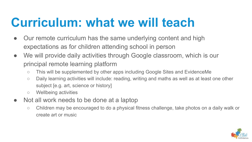#### **Curriculum: what we will teach**

- Our remote curriculum has the same underlying content and high expectations as for children attending school in person
- We will provide daily activities through Google classroom, which is our principal remote learning platform
	- This will be supplemented by other apps including Google Sites and EvidenceMe
	- Daily learning activities will include: reading, writing and maths as well as at least one other subject [e.g. art, science or history]
	- Wellbeing activities
- Not all work needs to be done at a laptop
	- Children may be encouraged to do a physical fitness challenge, take photos on a daily walk or create art or music

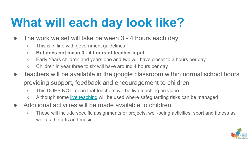# **What will each day look like?**

- The work we set will take between 3 4 hours each day
	- This is in line with government guidelines
	- **○ But does not mean 3 4 hours of teacher input**
	- Early Years children and years one and two will have closer to 3 hours per day
	- Children in year three to six will have around 4 hours per day
- Teachers will be available in the google classroom within normal school hours providing support, feedback and encouragement to children
	- This DOES NOT mean that teachers will be live teaching on video
	- Although some [live teaching](#page-6-0) will be used where safeguarding risks can be managed
- Additional activities will be made available to children
	- These will include specific assignments or projects, well-being activities, sport and fitness as well as the arts and music

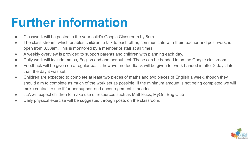#### **Further information**

- Classwork will be posted in the your child's Google Classroom by 8am.
- The class stream, which enables children to talk to each other, communicate with their teacher and post work, is open from 8.30am. This is monitored by a member of staff at all times.
- A weekly overview is provided to support parents and children with planning each day.
- Daily work will include maths, English and another subject. These can be handed in on the Google classroom.
- Feedback will be given on a regular basis, however no feedback will be given for work handed in after 2 days later than the day it was set.
- Children are expected to complete at least two pieces of maths and two pieces of English a week, though they should aim to complete as much of the work set as possible. If the minimum amount is not being completed we will make contact to see if further support and encouragement is needed.
- JLA will expect children to make use of resources such as Mathletics, MyOn, Bug Club
- Daily physical exercise will be suggested through posts on the classroom.

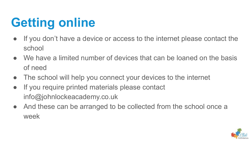# **Getting online**

- If you don't have a device or access to the internet please contact the school
- We have a limited number of devices that can be loaned on the basis of need
- The school will help you connect your devices to the internet
- If you require printed materials please contact info@johnlockeacademy.co.uk
- And these can be arranged to be collected from the school once a week

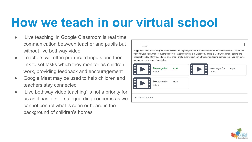#### <span id="page-6-0"></span>**How we teach in our virtual school**

- 'Live teaching' in Google Classroom is real time communication between teacher and pupils but without live bothway video
- Teachers will often pre-record inputs and then link to set tasks which they monitor as children work, providing feedback and encouragement
- Google Meet may be used to help children and teachers stay connected
- 'Live bothway video teaching' is not a priority for us as it has lots of safeguarding concerns as we cannot control what is seen or heard in the background of children's homes



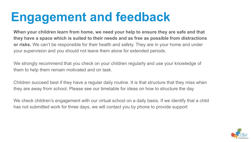#### **Engagement and feedback**

**When your children learn from home, we need your help to ensure they are safe and that they have a space which is suited to their needs and as free as possible from distractions or risks.** We can't be responsible for their health and safety. They are in your home and under your supervision and you should not leave them alone for extended periods.

We strongly recommend that you check on your children regularly and use your knowledge of them to help them remain motivated and on task.

Children succeed best if they have a regular daily routine. It is that structure that they miss when they are away from school. Please see our timetable for ideas on how to structure the day

We check children's engagement with our virtual school on a daily basis. If we identify that a child has not submitted work for three days, we will contact you by phone to provide support

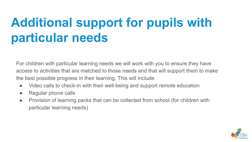## **Additional support for pupils with particular needs**

For children with particular learning needs we will work with you to ensure they have access to activities that are matched to those needs and that will support them to make the best possible progress in their learning. This will include

- Video calls to check-in with their well-being and support remote education
- Regular phone calls
- Provision of learning packs that can be collected from school (for children with particular learning needs)